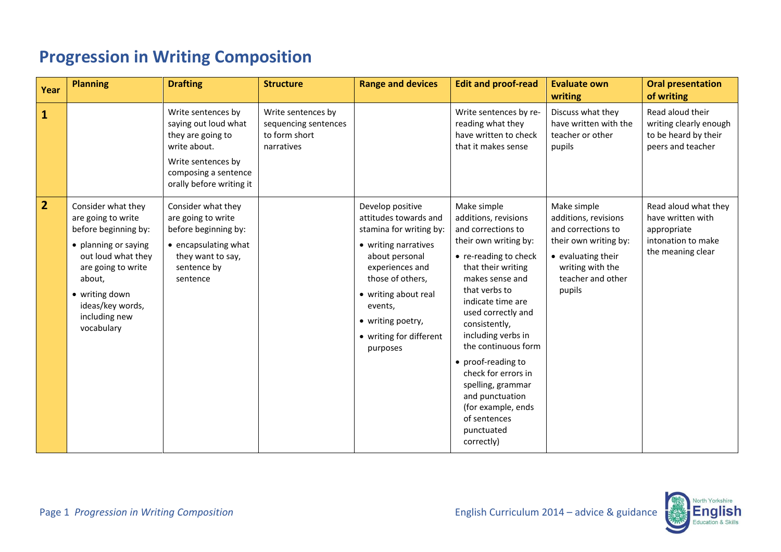| Year           | <b>Planning</b>                                                                                                                                                                                                     | <b>Drafting</b>                                                                                                                                           | <b>Structure</b>                                                          | <b>Range and devices</b>                                                                                                                                                                                                                             | <b>Edit and proof-read</b>                                                                                                                                                                                                                                                                                                                                                                                                            | <b>Evaluate own</b><br>writing                                                                                                                              | <b>Oral presentation</b><br>of writing                                                              |
|----------------|---------------------------------------------------------------------------------------------------------------------------------------------------------------------------------------------------------------------|-----------------------------------------------------------------------------------------------------------------------------------------------------------|---------------------------------------------------------------------------|------------------------------------------------------------------------------------------------------------------------------------------------------------------------------------------------------------------------------------------------------|---------------------------------------------------------------------------------------------------------------------------------------------------------------------------------------------------------------------------------------------------------------------------------------------------------------------------------------------------------------------------------------------------------------------------------------|-------------------------------------------------------------------------------------------------------------------------------------------------------------|-----------------------------------------------------------------------------------------------------|
| $\vert$ 1      |                                                                                                                                                                                                                     | Write sentences by<br>saying out loud what<br>they are going to<br>write about.<br>Write sentences by<br>composing a sentence<br>orally before writing it | Write sentences by<br>sequencing sentences<br>to form short<br>narratives |                                                                                                                                                                                                                                                      | Write sentences by re-<br>reading what they<br>have written to check<br>that it makes sense                                                                                                                                                                                                                                                                                                                                           | Discuss what they<br>have written with the<br>teacher or other<br>pupils                                                                                    | Read aloud their<br>writing clearly enough<br>to be heard by their<br>peers and teacher             |
| $\overline{2}$ | Consider what they<br>are going to write<br>before beginning by:<br>• planning or saying<br>out loud what they<br>are going to write<br>about,<br>• writing down<br>ideas/key words,<br>including new<br>vocabulary | Consider what they<br>are going to write<br>before beginning by:<br>• encapsulating what<br>they want to say,<br>sentence by<br>sentence                  |                                                                           | Develop positive<br>attitudes towards and<br>stamina for writing by:<br>• writing narratives<br>about personal<br>experiences and<br>those of others,<br>• writing about real<br>events,<br>• writing poetry,<br>• writing for different<br>purposes | Make simple<br>additions, revisions<br>and corrections to<br>their own writing by:<br>• re-reading to check<br>that their writing<br>makes sense and<br>that verbs to<br>indicate time are<br>used correctly and<br>consistently,<br>including verbs in<br>the continuous form<br>• proof-reading to<br>check for errors in<br>spelling, grammar<br>and punctuation<br>(for example, ends<br>of sentences<br>punctuated<br>correctly) | Make simple<br>additions, revisions<br>and corrections to<br>their own writing by:<br>• evaluating their<br>writing with the<br>teacher and other<br>pupils | Read aloud what they<br>have written with<br>appropriate<br>intonation to make<br>the meaning clear |

## **Progression in Writing Composition**

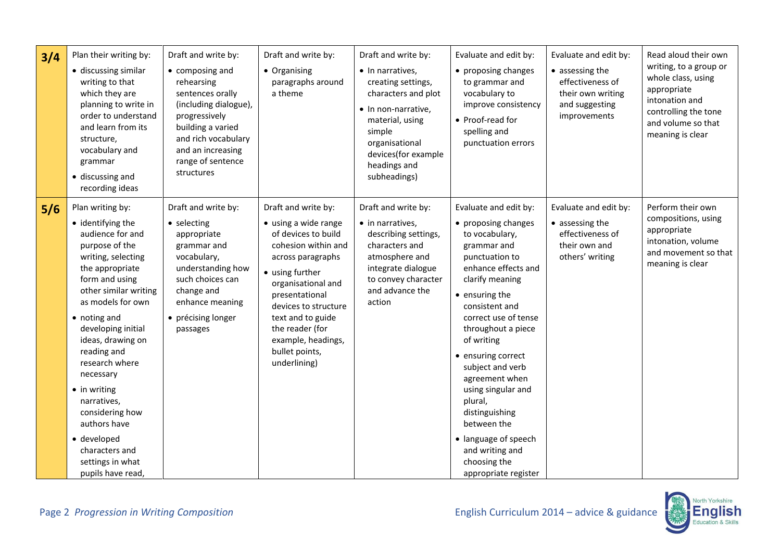| 3/4 | Plan their writing by:<br>· discussing similar<br>writing to that<br>which they are<br>planning to write in<br>order to understand<br>and learn from its<br>structure,<br>vocabulary and<br>grammar<br>• discussing and<br>recording ideas                                                                                                                                                                                                        | Draft and write by:<br>• composing and<br>rehearsing<br>sentences orally<br>(including dialogue),<br>progressively<br>building a varied<br>and rich vocabulary<br>and an increasing<br>range of sentence<br>structures | Draft and write by:<br>• Organising<br>paragraphs around<br>a theme                                                                                                                                                                                                                               | Draft and write by:<br>• In narratives,<br>creating settings,<br>characters and plot<br>• In non-narrative,<br>material, using<br>simple<br>organisational<br>devices(for example<br>headings and<br>subheadings) | Evaluate and edit by:<br>• proposing changes<br>to grammar and<br>vocabulary to<br>improve consistency<br>• Proof-read for<br>spelling and<br>punctuation errors                                                                                                                                                                                                                                                                                                   | Evaluate and edit by:<br>• assessing the<br>effectiveness of<br>their own writing<br>and suggesting<br>improvements | Read aloud their own<br>writing, to a group or<br>whole class, using<br>appropriate<br>intonation and<br>controlling the tone<br>and volume so that<br>meaning is clear |
|-----|---------------------------------------------------------------------------------------------------------------------------------------------------------------------------------------------------------------------------------------------------------------------------------------------------------------------------------------------------------------------------------------------------------------------------------------------------|------------------------------------------------------------------------------------------------------------------------------------------------------------------------------------------------------------------------|---------------------------------------------------------------------------------------------------------------------------------------------------------------------------------------------------------------------------------------------------------------------------------------------------|-------------------------------------------------------------------------------------------------------------------------------------------------------------------------------------------------------------------|--------------------------------------------------------------------------------------------------------------------------------------------------------------------------------------------------------------------------------------------------------------------------------------------------------------------------------------------------------------------------------------------------------------------------------------------------------------------|---------------------------------------------------------------------------------------------------------------------|-------------------------------------------------------------------------------------------------------------------------------------------------------------------------|
| 5/6 | Plan writing by:<br>• identifying the<br>audience for and<br>purpose of the<br>writing, selecting<br>the appropriate<br>form and using<br>other similar writing<br>as models for own<br>• noting and<br>developing initial<br>ideas, drawing on<br>reading and<br>research where<br>necessary<br>$\bullet$ in writing<br>narratives,<br>considering how<br>authors have<br>· developed<br>characters and<br>settings in what<br>pupils have read, | Draft and write by:<br>• selecting<br>appropriate<br>grammar and<br>vocabulary,<br>understanding how<br>such choices can<br>change and<br>enhance meaning<br>• précising longer<br>passages                            | Draft and write by:<br>• using a wide range<br>of devices to build<br>cohesion within and<br>across paragraphs<br>• using further<br>organisational and<br>presentational<br>devices to structure<br>text and to guide<br>the reader (for<br>example, headings,<br>bullet points,<br>underlining) | Draft and write by:<br>• in narratives,<br>describing settings,<br>characters and<br>atmosphere and<br>integrate dialogue<br>to convey character<br>and advance the<br>action                                     | Evaluate and edit by:<br>• proposing changes<br>to vocabulary,<br>grammar and<br>punctuation to<br>enhance effects and<br>clarify meaning<br>$\bullet$ ensuring the<br>consistent and<br>correct use of tense<br>throughout a piece<br>of writing<br>• ensuring correct<br>subject and verb<br>agreement when<br>using singular and<br>plural,<br>distinguishing<br>between the<br>• language of speech<br>and writing and<br>choosing the<br>appropriate register | Evaluate and edit by:<br>• assessing the<br>effectiveness of<br>their own and<br>others' writing                    | Perform their own<br>compositions, using<br>appropriate<br>intonation, volume<br>and movement so that<br>meaning is clear                                               |